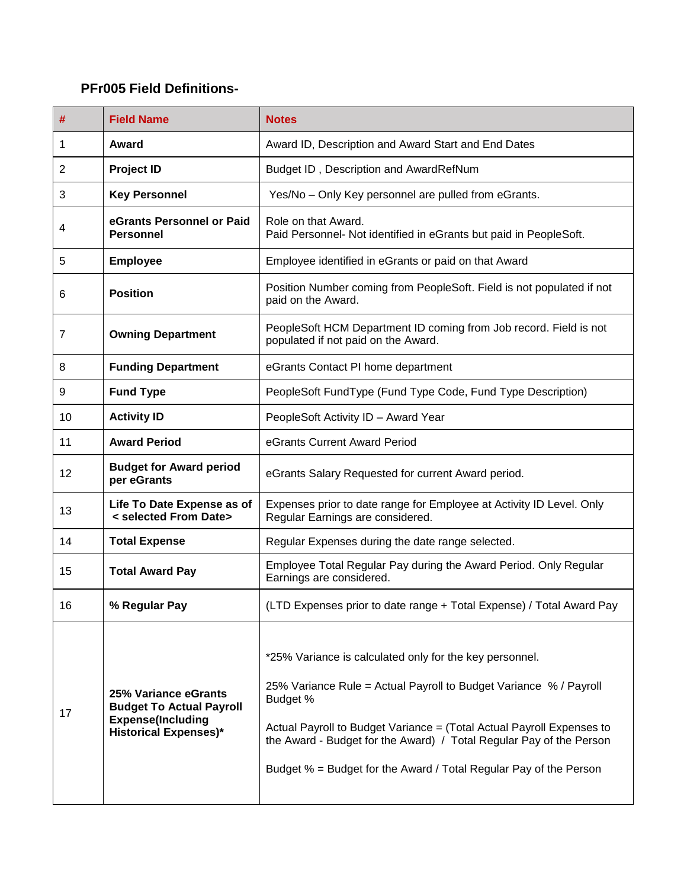## **PFr005 Field Definitions-**

| #              | <b>Field Name</b>                                                                                                   | <b>Notes</b>                                                                                                                                                                                                                                                                                                                                                  |
|----------------|---------------------------------------------------------------------------------------------------------------------|---------------------------------------------------------------------------------------------------------------------------------------------------------------------------------------------------------------------------------------------------------------------------------------------------------------------------------------------------------------|
| 1              | Award                                                                                                               | Award ID, Description and Award Start and End Dates                                                                                                                                                                                                                                                                                                           |
| $\overline{2}$ | <b>Project ID</b>                                                                                                   | Budget ID, Description and AwardRefNum                                                                                                                                                                                                                                                                                                                        |
| 3              | <b>Key Personnel</b>                                                                                                | Yes/No - Only Key personnel are pulled from eGrants.                                                                                                                                                                                                                                                                                                          |
| 4              | eGrants Personnel or Paid<br><b>Personnel</b>                                                                       | Role on that Award.<br>Paid Personnel- Not identified in eGrants but paid in PeopleSoft.                                                                                                                                                                                                                                                                      |
| 5              | <b>Employee</b>                                                                                                     | Employee identified in eGrants or paid on that Award                                                                                                                                                                                                                                                                                                          |
| 6              | <b>Position</b>                                                                                                     | Position Number coming from PeopleSoft. Field is not populated if not<br>paid on the Award.                                                                                                                                                                                                                                                                   |
| 7              | <b>Owning Department</b>                                                                                            | PeopleSoft HCM Department ID coming from Job record. Field is not<br>populated if not paid on the Award.                                                                                                                                                                                                                                                      |
| 8              | <b>Funding Department</b>                                                                                           | eGrants Contact PI home department                                                                                                                                                                                                                                                                                                                            |
| 9              | <b>Fund Type</b>                                                                                                    | PeopleSoft FundType (Fund Type Code, Fund Type Description)                                                                                                                                                                                                                                                                                                   |
| 10             | <b>Activity ID</b>                                                                                                  | PeopleSoft Activity ID - Award Year                                                                                                                                                                                                                                                                                                                           |
| 11             | <b>Award Period</b>                                                                                                 | eGrants Current Award Period                                                                                                                                                                                                                                                                                                                                  |
| 12             | <b>Budget for Award period</b><br>per eGrants                                                                       | eGrants Salary Requested for current Award period.                                                                                                                                                                                                                                                                                                            |
| 13             | Life To Date Expense as of<br>< selected From Date>                                                                 | Expenses prior to date range for Employee at Activity ID Level. Only<br>Regular Earnings are considered.                                                                                                                                                                                                                                                      |
| 14             | <b>Total Expense</b>                                                                                                | Regular Expenses during the date range selected.                                                                                                                                                                                                                                                                                                              |
| 15             | <b>Total Award Pay</b>                                                                                              | Employee Total Regular Pay during the Award Period. Only Regular<br>Earnings are considered.                                                                                                                                                                                                                                                                  |
| 16             | % Regular Pay                                                                                                       | (LTD Expenses prior to date range + Total Expense) / Total Award Pay                                                                                                                                                                                                                                                                                          |
| 17             | 25% Variance eGrants<br><b>Budget To Actual Payroll</b><br><b>Expense(Including</b><br><b>Historical Expenses)*</b> | *25% Variance is calculated only for the key personnel.<br>25% Variance Rule = Actual Payroll to Budget Variance % / Payroll<br>Budget %<br>Actual Payroll to Budget Variance = (Total Actual Payroll Expenses to<br>the Award - Budget for the Award) / Total Regular Pay of the Person<br>Budget % = Budget for the Award / Total Regular Pay of the Person |